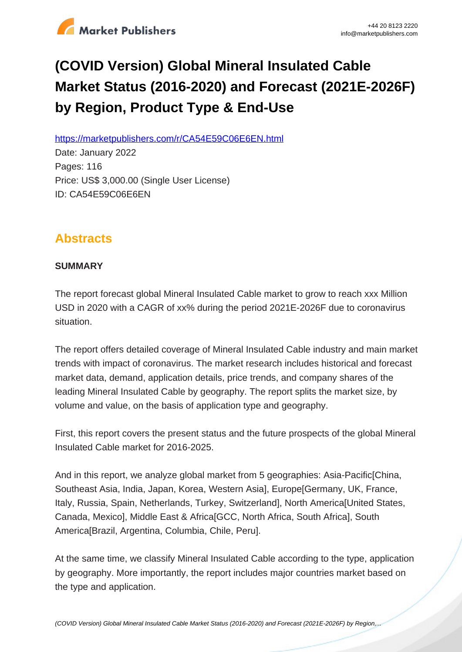

# **(COVID Version) Global Mineral Insulated Cable Market Status (2016-2020) and Forecast (2021E-2026F) by Region, Product Type & End-Use**

https://marketpublishers.com/r/CA54E59C06E6EN.html

Date: January 2022 Pages: 116 Price: US\$ 3,000.00 (Single User License) ID: CA54E59C06E6EN

# **Abstracts**

## **SUMMARY**

The report forecast global Mineral Insulated Cable market to grow to reach xxx Million USD in 2020 with a CAGR of xx% during the period 2021E-2026F due to coronavirus situation.

The report offers detailed coverage of Mineral Insulated Cable industry and main market trends with impact of coronavirus. The market research includes historical and forecast market data, demand, application details, price trends, and company shares of the leading Mineral Insulated Cable by geography. The report splits the market size, by volume and value, on the basis of application type and geography.

First, this report covers the present status and the future prospects of the global Mineral Insulated Cable market for 2016-2025.

And in this report, we analyze global market from 5 geographies: Asia-Pacific[China, Southeast Asia, India, Japan, Korea, Western Asia], Europe[Germany, UK, France, Italy, Russia, Spain, Netherlands, Turkey, Switzerland], North America[United States, Canada, Mexico], Middle East & Africa[GCC, North Africa, South Africa], South America[Brazil, Argentina, Columbia, Chile, Peru].

At the same time, we classify Mineral Insulated Cable according to the type, application by geography. More importantly, the report includes major countries market based on the type and application.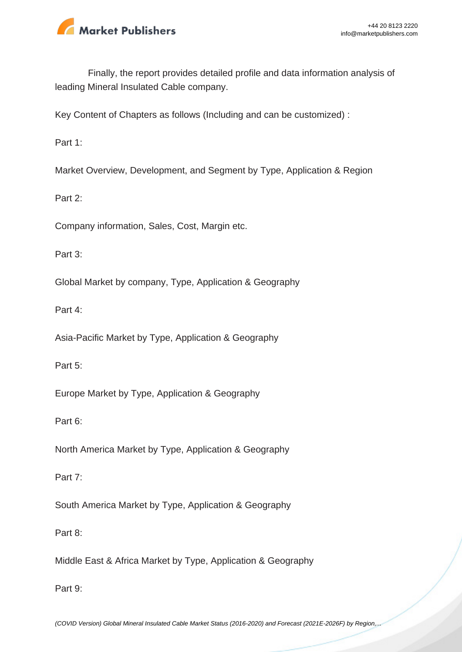

Finally, the report provides detailed profile and data information analysis of leading Mineral Insulated Cable company.

Key Content of Chapters as follows (Including and can be customized) :

Part 1:

Market Overview, Development, and Segment by Type, Application & Region

Part 2:

Company information, Sales, Cost, Margin etc.

Part 3:

Global Market by company, Type, Application & Geography

Part 4:

Asia-Pacific Market by Type, Application & Geography

Part 5:

Europe Market by Type, Application & Geography

Part 6:

North America Market by Type, Application & Geography

Part 7:

South America Market by Type, Application & Geography

Part 8:

Middle East & Africa Market by Type, Application & Geography

Part 9: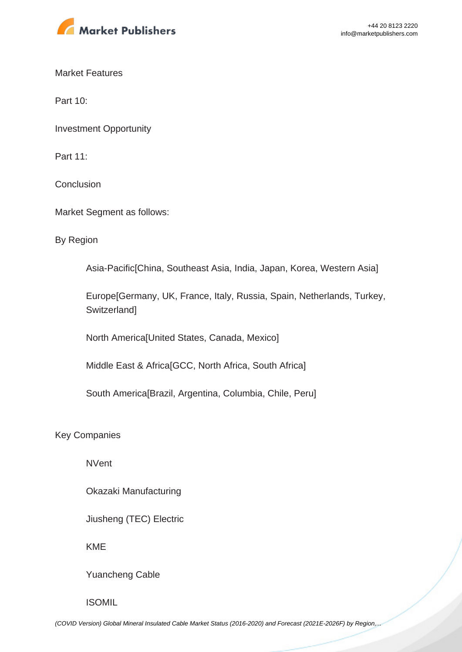

Market Features

Part 10:

Investment Opportunity

Part 11:

**Conclusion** 

Market Segment as follows:

By Region

Asia-Pacific[China, Southeast Asia, India, Japan, Korea, Western Asia]

Europe[Germany, UK, France, Italy, Russia, Spain, Netherlands, Turkey, **Switzerland1** 

North America[United States, Canada, Mexico]

Middle East & Africa[GCC, North Africa, South Africa]

South America[Brazil, Argentina, Columbia, Chile, Peru]

Key Companies

NVent

Okazaki Manufacturing

Jiusheng (TEC) Electric

KME

Yuancheng Cable

ISOMIL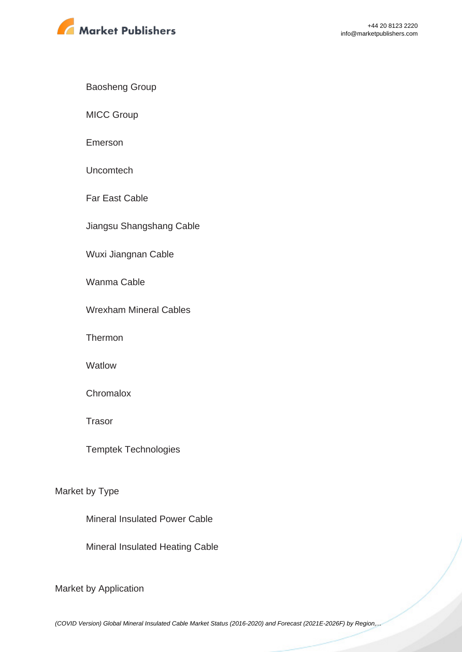

Baosheng Group

MICC Group

Emerson

Uncomtech

Far East Cable

Jiangsu Shangshang Cable

Wuxi Jiangnan Cable

Wanma Cable

Wrexham Mineral Cables

**Thermon** 

**Watlow** 

**Chromalox** 

Trasor

Temptek Technologies

Market by Type

Mineral Insulated Power Cable

Mineral Insulated Heating Cable

Market by Application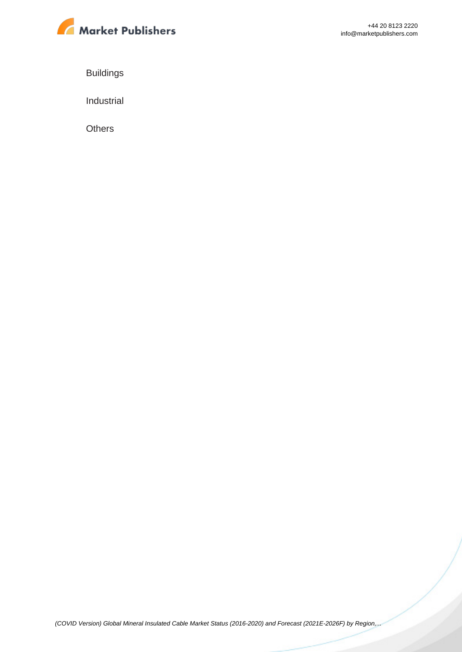

Buildings

Industrial

**Others**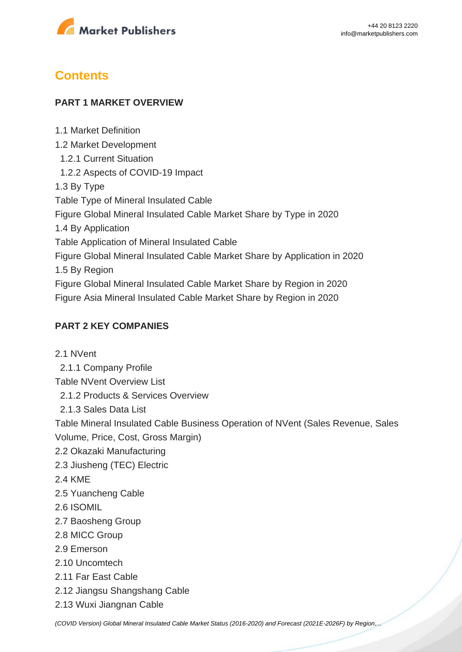

# **Contents**

1.1 Market Definition

#### **PART 1 MARKET OVERVIEW**

1.2 Market Development 1.2.1 Current Situation 1.2.2 Aspects of COVID-19 Impact 1.3 By Type Table Type of Mineral Insulated Cable Figure Global Mineral Insulated Cable Market Share by Type in 2020 1.4 By Application Table Application of Mineral Insulated Cable Figure Global Mineral Insulated Cable Market Share by Application in 2020 1.5 By Region Figure Global Mineral Insulated Cable Market Share by Region in 2020 Figure Asia Mineral Insulated Cable Market Share by Region in 2020

## **PART 2 KEY COMPANIES**

2.1 NVent

2.1.1 Company Profile

Table NVent Overview List

2.1.2 Products & Services Overview

2.1.3 Sales Data List

Table Mineral Insulated Cable Business Operation of NVent (Sales Revenue, Sales Volume, Price, Cost, Gross Margin)

- 2.2 Okazaki Manufacturing
- 2.3 Jiusheng (TEC) Electric
- 2.4 KME
- 2.5 Yuancheng Cable
- 2.6 ISOMIL
- 2.7 Baosheng Group
- 2.8 MICC Group
- 2.9 Emerson
- 2.10 Uncomtech
- 2.11 Far East Cable
- 2.12 Jiangsu Shangshang Cable
- 2.13 Wuxi Jiangnan Cable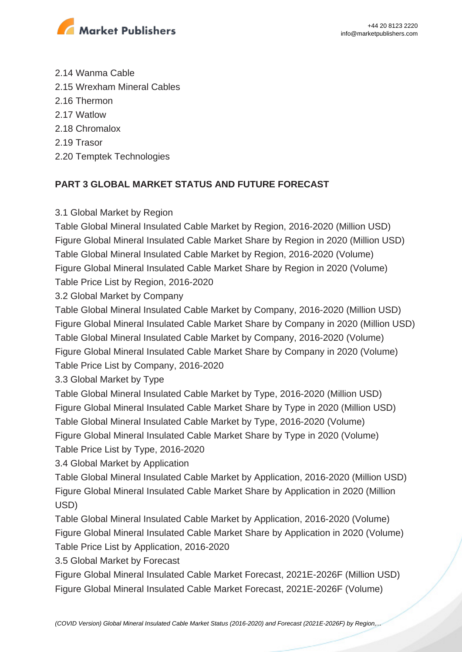

2.14 Wanma Cable 2.15 Wrexham Mineral Cables 2.16 Thermon 2.17 Watlow 2.18 Chromalox 2.19 Trasor 2.20 Temptek Technologies

# **PART 3 GLOBAL MARKET STATUS AND FUTURE FORECAST**

3.1 Global Market by Region

Table Global Mineral Insulated Cable Market by Region, 2016-2020 (Million USD) Figure Global Mineral Insulated Cable Market Share by Region in 2020 (Million USD) Table Global Mineral Insulated Cable Market by Region, 2016-2020 (Volume) Figure Global Mineral Insulated Cable Market Share by Region in 2020 (Volume) Table Price List by Region, 2016-2020

3.2 Global Market by Company

Table Global Mineral Insulated Cable Market by Company, 2016-2020 (Million USD) Figure Global Mineral Insulated Cable Market Share by Company in 2020 (Million USD) Table Global Mineral Insulated Cable Market by Company, 2016-2020 (Volume) Figure Global Mineral Insulated Cable Market Share by Company in 2020 (Volume) Table Price List by Company, 2016-2020

3.3 Global Market by Type

Table Global Mineral Insulated Cable Market by Type, 2016-2020 (Million USD) Figure Global Mineral Insulated Cable Market Share by Type in 2020 (Million USD) Table Global Mineral Insulated Cable Market by Type, 2016-2020 (Volume) Figure Global Mineral Insulated Cable Market Share by Type in 2020 (Volume) Table Price List by Type, 2016-2020

3.4 Global Market by Application

Table Global Mineral Insulated Cable Market by Application, 2016-2020 (Million USD) Figure Global Mineral Insulated Cable Market Share by Application in 2020 (Million USD)

Table Global Mineral Insulated Cable Market by Application, 2016-2020 (Volume) Figure Global Mineral Insulated Cable Market Share by Application in 2020 (Volume) Table Price List by Application, 2016-2020

3.5 Global Market by Forecast

Figure Global Mineral Insulated Cable Market Forecast, 2021E-2026F (Million USD) Figure Global Mineral Insulated Cable Market Forecast, 2021E-2026F (Volume)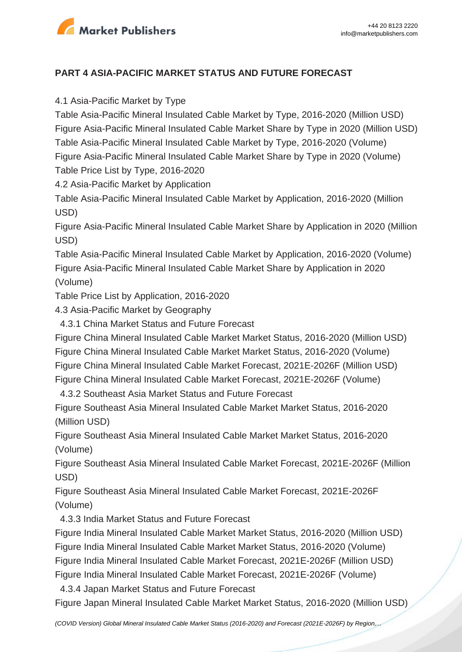

## **PART 4 ASIA-PACIFIC MARKET STATUS AND FUTURE FORECAST**

4.1 Asia-Pacific Market by Type

Table Asia-Pacific Mineral Insulated Cable Market by Type, 2016-2020 (Million USD) Figure Asia-Pacific Mineral Insulated Cable Market Share by Type in 2020 (Million USD) Table Asia-Pacific Mineral Insulated Cable Market by Type, 2016-2020 (Volume) Figure Asia-Pacific Mineral Insulated Cable Market Share by Type in 2020 (Volume) Table Price List by Type, 2016-2020

4.2 Asia-Pacific Market by Application

Table Asia-Pacific Mineral Insulated Cable Market by Application, 2016-2020 (Million USD)

Figure Asia-Pacific Mineral Insulated Cable Market Share by Application in 2020 (Million USD)

Table Asia-Pacific Mineral Insulated Cable Market by Application, 2016-2020 (Volume) Figure Asia-Pacific Mineral Insulated Cable Market Share by Application in 2020 (Volume)

Table Price List by Application, 2016-2020

4.3 Asia-Pacific Market by Geography

4.3.1 China Market Status and Future Forecast

Figure China Mineral Insulated Cable Market Market Status, 2016-2020 (Million USD)

Figure China Mineral Insulated Cable Market Market Status, 2016-2020 (Volume)

Figure China Mineral Insulated Cable Market Forecast, 2021E-2026F (Million USD)

Figure China Mineral Insulated Cable Market Forecast, 2021E-2026F (Volume)

4.3.2 Southeast Asia Market Status and Future Forecast

Figure Southeast Asia Mineral Insulated Cable Market Market Status, 2016-2020 (Million USD)

Figure Southeast Asia Mineral Insulated Cable Market Market Status, 2016-2020 (Volume)

Figure Southeast Asia Mineral Insulated Cable Market Forecast, 2021E-2026F (Million USD)

Figure Southeast Asia Mineral Insulated Cable Market Forecast, 2021E-2026F (Volume)

4.3.3 India Market Status and Future Forecast

Figure India Mineral Insulated Cable Market Market Status, 2016-2020 (Million USD) Figure India Mineral Insulated Cable Market Market Status, 2016-2020 (Volume) Figure India Mineral Insulated Cable Market Forecast, 2021E-2026F (Million USD) Figure India Mineral Insulated Cable Market Forecast, 2021E-2026F (Volume)

4.3.4 Japan Market Status and Future Forecast

Figure Japan Mineral Insulated Cable Market Market Status, 2016-2020 (Million USD)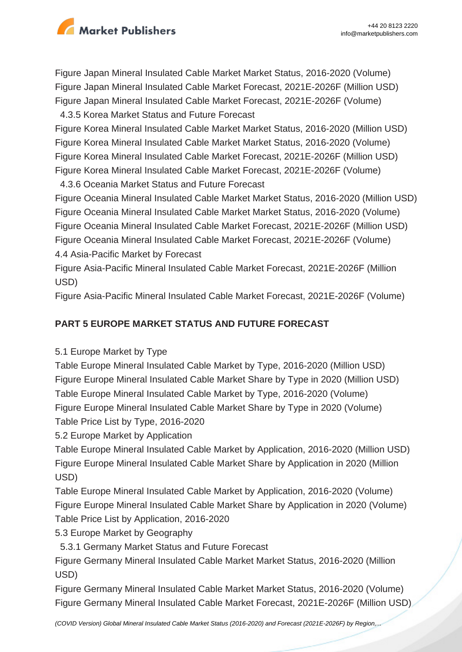

Figure Japan Mineral Insulated Cable Market Market Status, 2016-2020 (Volume) Figure Japan Mineral Insulated Cable Market Forecast, 2021E-2026F (Million USD) Figure Japan Mineral Insulated Cable Market Forecast, 2021E-2026F (Volume)

4.3.5 Korea Market Status and Future Forecast

Figure Korea Mineral Insulated Cable Market Market Status, 2016-2020 (Million USD) Figure Korea Mineral Insulated Cable Market Market Status, 2016-2020 (Volume) Figure Korea Mineral Insulated Cable Market Forecast, 2021E-2026F (Million USD) Figure Korea Mineral Insulated Cable Market Forecast, 2021E-2026F (Volume)

4.3.6 Oceania Market Status and Future Forecast

Figure Oceania Mineral Insulated Cable Market Market Status, 2016-2020 (Million USD) Figure Oceania Mineral Insulated Cable Market Market Status, 2016-2020 (Volume) Figure Oceania Mineral Insulated Cable Market Forecast, 2021E-2026F (Million USD) Figure Oceania Mineral Insulated Cable Market Forecast, 2021E-2026F (Volume) 4.4 Asia-Pacific Market by Forecast

Figure Asia-Pacific Mineral Insulated Cable Market Forecast, 2021E-2026F (Million USD)

Figure Asia-Pacific Mineral Insulated Cable Market Forecast, 2021E-2026F (Volume)

# **PART 5 EUROPE MARKET STATUS AND FUTURE FORECAST**

5.1 Europe Market by Type

Table Europe Mineral Insulated Cable Market by Type, 2016-2020 (Million USD) Figure Europe Mineral Insulated Cable Market Share by Type in 2020 (Million USD) Table Europe Mineral Insulated Cable Market by Type, 2016-2020 (Volume) Figure Europe Mineral Insulated Cable Market Share by Type in 2020 (Volume) Table Price List by Type, 2016-2020

5.2 Europe Market by Application

Table Europe Mineral Insulated Cable Market by Application, 2016-2020 (Million USD) Figure Europe Mineral Insulated Cable Market Share by Application in 2020 (Million USD)

Table Europe Mineral Insulated Cable Market by Application, 2016-2020 (Volume) Figure Europe Mineral Insulated Cable Market Share by Application in 2020 (Volume) Table Price List by Application, 2016-2020

5.3 Europe Market by Geography

5.3.1 Germany Market Status and Future Forecast

Figure Germany Mineral Insulated Cable Market Market Status, 2016-2020 (Million USD)

Figure Germany Mineral Insulated Cable Market Market Status, 2016-2020 (Volume) Figure Germany Mineral Insulated Cable Market Forecast, 2021E-2026F (Million USD)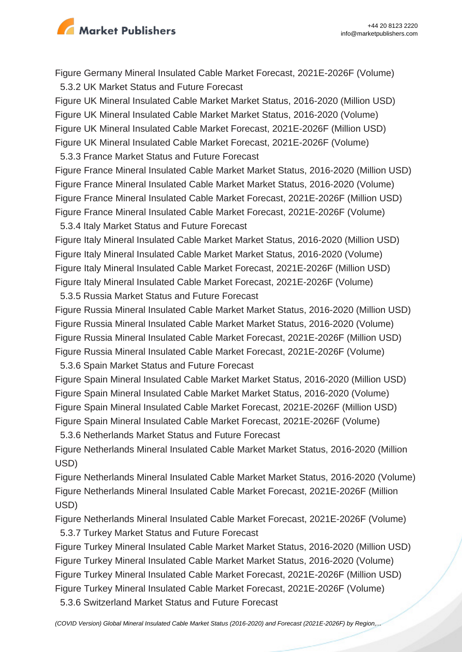

Figure Germany Mineral Insulated Cable Market Forecast, 2021E-2026F (Volume) 5.3.2 UK Market Status and Future Forecast

Figure UK Mineral Insulated Cable Market Market Status, 2016-2020 (Million USD) Figure UK Mineral Insulated Cable Market Market Status, 2016-2020 (Volume) Figure UK Mineral Insulated Cable Market Forecast, 2021E-2026F (Million USD) Figure UK Mineral Insulated Cable Market Forecast, 2021E-2026F (Volume)

5.3.3 France Market Status and Future Forecast

Figure France Mineral Insulated Cable Market Market Status, 2016-2020 (Million USD) Figure France Mineral Insulated Cable Market Market Status, 2016-2020 (Volume) Figure France Mineral Insulated Cable Market Forecast, 2021E-2026F (Million USD) Figure France Mineral Insulated Cable Market Forecast, 2021E-2026F (Volume)

5.3.4 Italy Market Status and Future Forecast

Figure Italy Mineral Insulated Cable Market Market Status, 2016-2020 (Million USD) Figure Italy Mineral Insulated Cable Market Market Status, 2016-2020 (Volume) Figure Italy Mineral Insulated Cable Market Forecast, 2021E-2026F (Million USD) Figure Italy Mineral Insulated Cable Market Forecast, 2021E-2026F (Volume)

5.3.5 Russia Market Status and Future Forecast

Figure Russia Mineral Insulated Cable Market Market Status, 2016-2020 (Million USD) Figure Russia Mineral Insulated Cable Market Market Status, 2016-2020 (Volume) Figure Russia Mineral Insulated Cable Market Forecast, 2021E-2026F (Million USD) Figure Russia Mineral Insulated Cable Market Forecast, 2021E-2026F (Volume) 5.3.6 Spain Market Status and Future Forecast

Figure Spain Mineral Insulated Cable Market Market Status, 2016-2020 (Million USD) Figure Spain Mineral Insulated Cable Market Market Status, 2016-2020 (Volume) Figure Spain Mineral Insulated Cable Market Forecast, 2021E-2026F (Million USD) Figure Spain Mineral Insulated Cable Market Forecast, 2021E-2026F (Volume) 5.3.6 Netherlands Market Status and Future Forecast

Figure Netherlands Mineral Insulated Cable Market Market Status, 2016-2020 (Million USD)

Figure Netherlands Mineral Insulated Cable Market Market Status, 2016-2020 (Volume) Figure Netherlands Mineral Insulated Cable Market Forecast, 2021E-2026F (Million USD)

Figure Netherlands Mineral Insulated Cable Market Forecast, 2021E-2026F (Volume) 5.3.7 Turkey Market Status and Future Forecast

Figure Turkey Mineral Insulated Cable Market Market Status, 2016-2020 (Million USD) Figure Turkey Mineral Insulated Cable Market Market Status, 2016-2020 (Volume) Figure Turkey Mineral Insulated Cable Market Forecast, 2021E-2026F (Million USD) Figure Turkey Mineral Insulated Cable Market Forecast, 2021E-2026F (Volume)

5.3.6 Switzerland Market Status and Future Forecast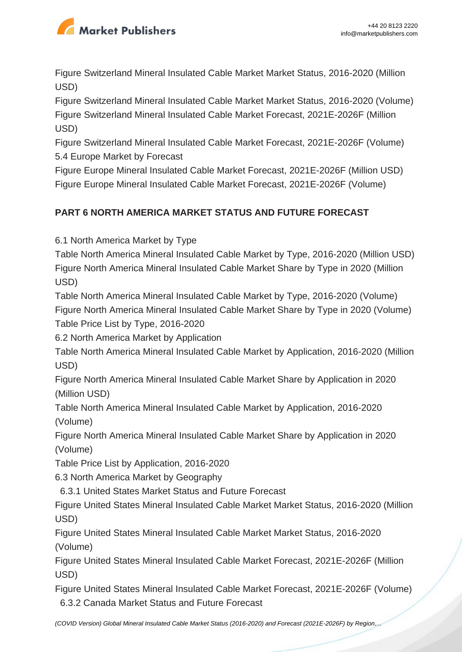

Figure Switzerland Mineral Insulated Cable Market Market Status, 2016-2020 (Million USD)

Figure Switzerland Mineral Insulated Cable Market Market Status, 2016-2020 (Volume) Figure Switzerland Mineral Insulated Cable Market Forecast, 2021E-2026F (Million USD)

Figure Switzerland Mineral Insulated Cable Market Forecast, 2021E-2026F (Volume) 5.4 Europe Market by Forecast

Figure Europe Mineral Insulated Cable Market Forecast, 2021E-2026F (Million USD) Figure Europe Mineral Insulated Cable Market Forecast, 2021E-2026F (Volume)

# **PART 6 NORTH AMERICA MARKET STATUS AND FUTURE FORECAST**

6.1 North America Market by Type

Table North America Mineral Insulated Cable Market by Type, 2016-2020 (Million USD) Figure North America Mineral Insulated Cable Market Share by Type in 2020 (Million USD)

Table North America Mineral Insulated Cable Market by Type, 2016-2020 (Volume) Figure North America Mineral Insulated Cable Market Share by Type in 2020 (Volume) Table Price List by Type, 2016-2020

6.2 North America Market by Application

Table North America Mineral Insulated Cable Market by Application, 2016-2020 (Million USD)

Figure North America Mineral Insulated Cable Market Share by Application in 2020 (Million USD)

Table North America Mineral Insulated Cable Market by Application, 2016-2020 (Volume)

Figure North America Mineral Insulated Cable Market Share by Application in 2020 (Volume)

Table Price List by Application, 2016-2020

6.3 North America Market by Geography

6.3.1 United States Market Status and Future Forecast

Figure United States Mineral Insulated Cable Market Market Status, 2016-2020 (Million USD)

Figure United States Mineral Insulated Cable Market Market Status, 2016-2020 (Volume)

Figure United States Mineral Insulated Cable Market Forecast, 2021E-2026F (Million USD)

Figure United States Mineral Insulated Cable Market Forecast, 2021E-2026F (Volume) 6.3.2 Canada Market Status and Future Forecast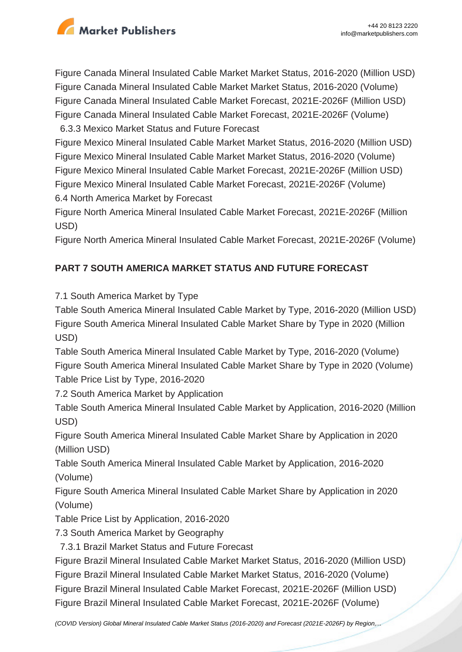

Figure Canada Mineral Insulated Cable Market Market Status, 2016-2020 (Million USD) Figure Canada Mineral Insulated Cable Market Market Status, 2016-2020 (Volume) Figure Canada Mineral Insulated Cable Market Forecast, 2021E-2026F (Million USD) Figure Canada Mineral Insulated Cable Market Forecast, 2021E-2026F (Volume)

6.3.3 Mexico Market Status and Future Forecast

Figure Mexico Mineral Insulated Cable Market Market Status, 2016-2020 (Million USD) Figure Mexico Mineral Insulated Cable Market Market Status, 2016-2020 (Volume) Figure Mexico Mineral Insulated Cable Market Forecast, 2021E-2026F (Million USD) Figure Mexico Mineral Insulated Cable Market Forecast, 2021E-2026F (Volume) 6.4 North America Market by Forecast

Figure North America Mineral Insulated Cable Market Forecast, 2021E-2026F (Million USD)

Figure North America Mineral Insulated Cable Market Forecast, 2021E-2026F (Volume)

# **PART 7 SOUTH AMERICA MARKET STATUS AND FUTURE FORECAST**

7.1 South America Market by Type

Table South America Mineral Insulated Cable Market by Type, 2016-2020 (Million USD) Figure South America Mineral Insulated Cable Market Share by Type in 2020 (Million USD)

Table South America Mineral Insulated Cable Market by Type, 2016-2020 (Volume) Figure South America Mineral Insulated Cable Market Share by Type in 2020 (Volume) Table Price List by Type, 2016-2020

7.2 South America Market by Application

Table South America Mineral Insulated Cable Market by Application, 2016-2020 (Million USD)

Figure South America Mineral Insulated Cable Market Share by Application in 2020 (Million USD)

Table South America Mineral Insulated Cable Market by Application, 2016-2020 (Volume)

Figure South America Mineral Insulated Cable Market Share by Application in 2020 (Volume)

Table Price List by Application, 2016-2020

7.3 South America Market by Geography

7.3.1 Brazil Market Status and Future Forecast

Figure Brazil Mineral Insulated Cable Market Market Status, 2016-2020 (Million USD) Figure Brazil Mineral Insulated Cable Market Market Status, 2016-2020 (Volume) Figure Brazil Mineral Insulated Cable Market Forecast, 2021E-2026F (Million USD) Figure Brazil Mineral Insulated Cable Market Forecast, 2021E-2026F (Volume)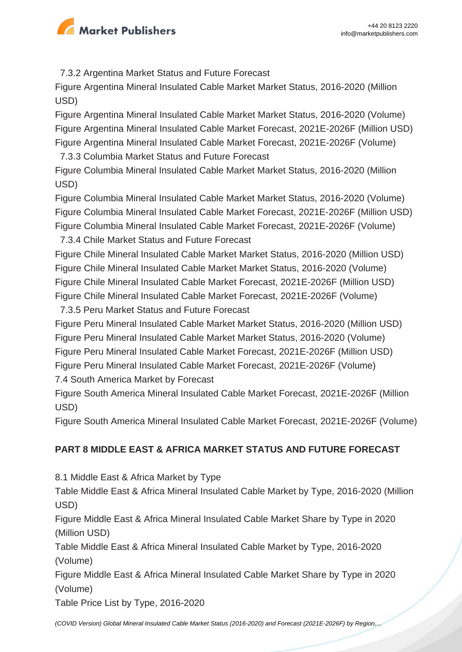

7.3.2 Argentina Market Status and Future Forecast

Figure Argentina Mineral Insulated Cable Market Market Status, 2016-2020 (Million USD)

Figure Argentina Mineral Insulated Cable Market Market Status, 2016-2020 (Volume) Figure Argentina Mineral Insulated Cable Market Forecast, 2021E-2026F (Million USD) Figure Argentina Mineral Insulated Cable Market Forecast, 2021E-2026F (Volume)

7.3.3 Columbia Market Status and Future Forecast

Figure Columbia Mineral Insulated Cable Market Market Status, 2016-2020 (Million USD)

Figure Columbia Mineral Insulated Cable Market Market Status, 2016-2020 (Volume) Figure Columbia Mineral Insulated Cable Market Forecast, 2021E-2026F (Million USD) Figure Columbia Mineral Insulated Cable Market Forecast, 2021E-2026F (Volume)

7.3.4 Chile Market Status and Future Forecast

Figure Chile Mineral Insulated Cable Market Market Status, 2016-2020 (Million USD) Figure Chile Mineral Insulated Cable Market Market Status, 2016-2020 (Volume) Figure Chile Mineral Insulated Cable Market Forecast, 2021E-2026F (Million USD) Figure Chile Mineral Insulated Cable Market Forecast, 2021E-2026F (Volume)

7.3.5 Peru Market Status and Future Forecast

Figure Peru Mineral Insulated Cable Market Market Status, 2016-2020 (Million USD) Figure Peru Mineral Insulated Cable Market Market Status, 2016-2020 (Volume) Figure Peru Mineral Insulated Cable Market Forecast, 2021E-2026F (Million USD) Figure Peru Mineral Insulated Cable Market Forecast, 2021E-2026F (Volume) 7.4 South America Market by Forecast

Figure South America Mineral Insulated Cable Market Forecast, 2021E-2026F (Million USD)

Figure South America Mineral Insulated Cable Market Forecast, 2021E-2026F (Volume)

# **PART 8 MIDDLE EAST & AFRICA MARKET STATUS AND FUTURE FORECAST**

8.1 Middle East & Africa Market by Type

Table Middle East & Africa Mineral Insulated Cable Market by Type, 2016-2020 (Million USD)

Figure Middle East & Africa Mineral Insulated Cable Market Share by Type in 2020 (Million USD)

Table Middle East & Africa Mineral Insulated Cable Market by Type, 2016-2020 (Volume)

Figure Middle East & Africa Mineral Insulated Cable Market Share by Type in 2020 (Volume)

Table Price List by Type, 2016-2020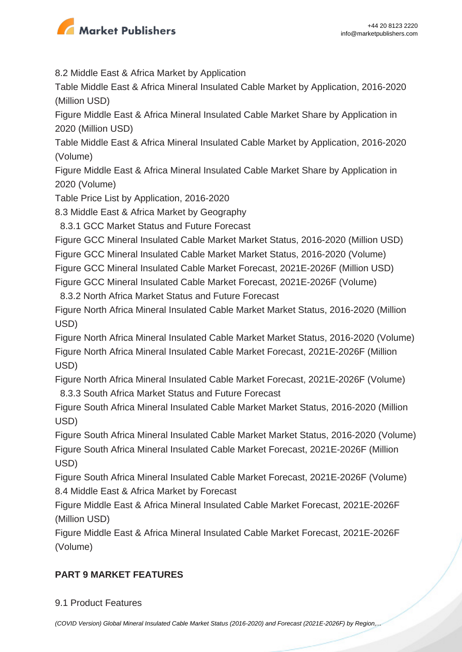

8.2 Middle East & Africa Market by Application

Table Middle East & Africa Mineral Insulated Cable Market by Application, 2016-2020 (Million USD)

Figure Middle East & Africa Mineral Insulated Cable Market Share by Application in 2020 (Million USD)

Table Middle East & Africa Mineral Insulated Cable Market by Application, 2016-2020 (Volume)

Figure Middle East & Africa Mineral Insulated Cable Market Share by Application in 2020 (Volume)

Table Price List by Application, 2016-2020

8.3 Middle East & Africa Market by Geography

8.3.1 GCC Market Status and Future Forecast

Figure GCC Mineral Insulated Cable Market Market Status, 2016-2020 (Million USD)

Figure GCC Mineral Insulated Cable Market Market Status, 2016-2020 (Volume)

Figure GCC Mineral Insulated Cable Market Forecast, 2021E-2026F (Million USD)

Figure GCC Mineral Insulated Cable Market Forecast, 2021E-2026F (Volume)

8.3.2 North Africa Market Status and Future Forecast

Figure North Africa Mineral Insulated Cable Market Market Status, 2016-2020 (Million USD)

Figure North Africa Mineral Insulated Cable Market Market Status, 2016-2020 (Volume) Figure North Africa Mineral Insulated Cable Market Forecast, 2021E-2026F (Million USD)

Figure North Africa Mineral Insulated Cable Market Forecast, 2021E-2026F (Volume) 8.3.3 South Africa Market Status and Future Forecast

Figure South Africa Mineral Insulated Cable Market Market Status, 2016-2020 (Million USD)

Figure South Africa Mineral Insulated Cable Market Market Status, 2016-2020 (Volume) Figure South Africa Mineral Insulated Cable Market Forecast, 2021E-2026F (Million USD)

Figure South Africa Mineral Insulated Cable Market Forecast, 2021E-2026F (Volume) 8.4 Middle East & Africa Market by Forecast

Figure Middle East & Africa Mineral Insulated Cable Market Forecast, 2021E-2026F (Million USD)

Figure Middle East & Africa Mineral Insulated Cable Market Forecast, 2021E-2026F (Volume)

# **PART 9 MARKET FEATURES**

# 9.1 Product Features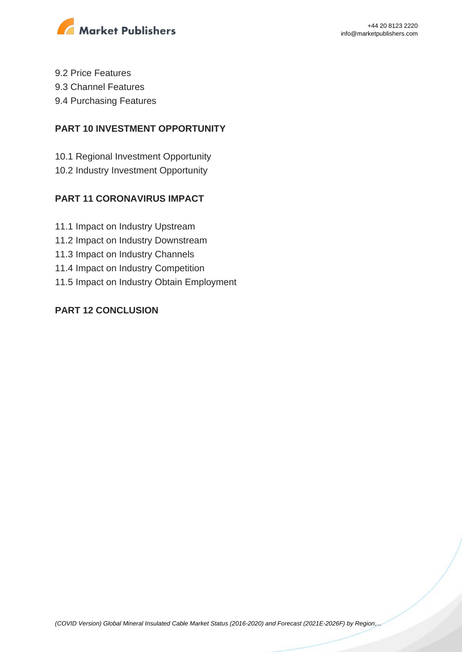

- 9.2 Price Features
- 9.3 Channel Features
- 9.4 Purchasing Features

#### **PART 10 INVESTMENT OPPORTUNITY**

- 10.1 Regional Investment Opportunity
- 10.2 Industry Investment Opportunity

## **PART 11 CORONAVIRUS IMPACT**

- 11.1 Impact on Industry Upstream
- 11.2 Impact on Industry Downstream
- 11.3 Impact on Industry Channels
- 11.4 Impact on Industry Competition
- 11.5 Impact on Industry Obtain Employment

## **PART 12 CONCLUSION**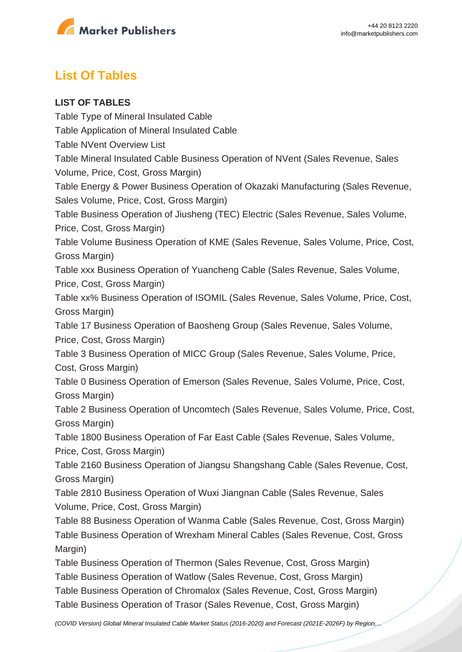

# **List Of Tables**

#### **LIST OF TABLES**

Table Type of Mineral Insulated Cable Table Application of Mineral Insulated Cable Table NVent Overview List Table Mineral Insulated Cable Business Operation of NVent (Sales Revenue, Sales Volume, Price, Cost, Gross Margin) Table Energy & Power Business Operation of Okazaki Manufacturing (Sales Revenue, Sales Volume, Price, Cost, Gross Margin) Table Business Operation of Jiusheng (TEC) Electric (Sales Revenue, Sales Volume, Price, Cost, Gross Margin) Table Volume Business Operation of KME (Sales Revenue, Sales Volume, Price, Cost, Gross Margin) Table xxx Business Operation of Yuancheng Cable (Sales Revenue, Sales Volume, Price, Cost, Gross Margin) Table xx% Business Operation of ISOMIL (Sales Revenue, Sales Volume, Price, Cost, Gross Margin) Table 17 Business Operation of Baosheng Group (Sales Revenue, Sales Volume, Price, Cost, Gross Margin) Table 3 Business Operation of MICC Group (Sales Revenue, Sales Volume, Price, Cost, Gross Margin) Table 0 Business Operation of Emerson (Sales Revenue, Sales Volume, Price, Cost, Gross Margin) Table 2 Business Operation of Uncomtech (Sales Revenue, Sales Volume, Price, Cost, Gross Margin) Table 1800 Business Operation of Far East Cable (Sales Revenue, Sales Volume, Price, Cost, Gross Margin) Table 2160 Business Operation of Jiangsu Shangshang Cable (Sales Revenue, Cost, Gross Margin) Table 2810 Business Operation of Wuxi Jiangnan Cable (Sales Revenue, Sales Volume, Price, Cost, Gross Margin) Table 88 Business Operation of Wanma Cable (Sales Revenue, Cost, Gross Margin) Table Business Operation of Wrexham Mineral Cables (Sales Revenue, Cost, Gross Margin) Table Business Operation of Thermon (Sales Revenue, Cost, Gross Margin) Table Business Operation of Watlow (Sales Revenue, Cost, Gross Margin) Table Business Operation of Chromalox (Sales Revenue, Cost, Gross Margin) Table Business Operation of Trasor (Sales Revenue, Cost, Gross Margin)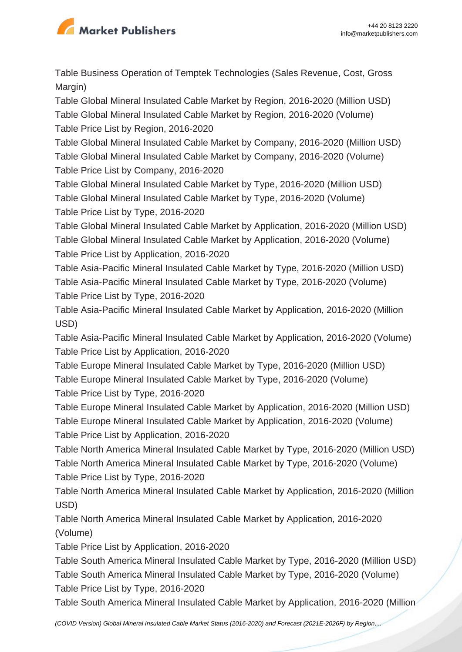

Table Business Operation of Temptek Technologies (Sales Revenue, Cost, Gross Margin)

Table Global Mineral Insulated Cable Market by Region, 2016-2020 (Million USD) Table Global Mineral Insulated Cable Market by Region, 2016-2020 (Volume)

Table Price List by Region, 2016-2020

Table Global Mineral Insulated Cable Market by Company, 2016-2020 (Million USD)

Table Global Mineral Insulated Cable Market by Company, 2016-2020 (Volume) Table Price List by Company, 2016-2020

Table Global Mineral Insulated Cable Market by Type, 2016-2020 (Million USD)

Table Global Mineral Insulated Cable Market by Type, 2016-2020 (Volume)

Table Price List by Type, 2016-2020

Table Global Mineral Insulated Cable Market by Application, 2016-2020 (Million USD)

Table Global Mineral Insulated Cable Market by Application, 2016-2020 (Volume) Table Price List by Application, 2016-2020

Table Asia-Pacific Mineral Insulated Cable Market by Type, 2016-2020 (Million USD) Table Asia-Pacific Mineral Insulated Cable Market by Type, 2016-2020 (Volume) Table Price List by Type, 2016-2020

Table Asia-Pacific Mineral Insulated Cable Market by Application, 2016-2020 (Million USD)

Table Asia-Pacific Mineral Insulated Cable Market by Application, 2016-2020 (Volume) Table Price List by Application, 2016-2020

Table Europe Mineral Insulated Cable Market by Type, 2016-2020 (Million USD)

Table Europe Mineral Insulated Cable Market by Type, 2016-2020 (Volume)

Table Price List by Type, 2016-2020

Table Europe Mineral Insulated Cable Market by Application, 2016-2020 (Million USD) Table Europe Mineral Insulated Cable Market by Application, 2016-2020 (Volume) Table Price List by Application, 2016-2020

Table North America Mineral Insulated Cable Market by Type, 2016-2020 (Million USD) Table North America Mineral Insulated Cable Market by Type, 2016-2020 (Volume) Table Price List by Type, 2016-2020

Table North America Mineral Insulated Cable Market by Application, 2016-2020 (Million USD)

Table North America Mineral Insulated Cable Market by Application, 2016-2020 (Volume)

Table Price List by Application, 2016-2020

Table South America Mineral Insulated Cable Market by Type, 2016-2020 (Million USD) Table South America Mineral Insulated Cable Market by Type, 2016-2020 (Volume) Table Price List by Type, 2016-2020

Table South America Mineral Insulated Cable Market by Application, 2016-2020 (Million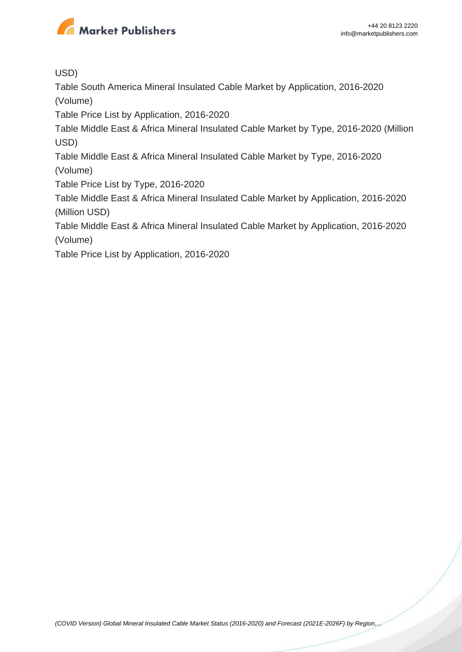

USD)

Table South America Mineral Insulated Cable Market by Application, 2016-2020 (Volume)

Table Price List by Application, 2016-2020

Table Middle East & Africa Mineral Insulated Cable Market by Type, 2016-2020 (Million USD)

Table Middle East & Africa Mineral Insulated Cable Market by Type, 2016-2020 (Volume)

Table Price List by Type, 2016-2020

Table Middle East & Africa Mineral Insulated Cable Market by Application, 2016-2020 (Million USD)

Table Middle East & Africa Mineral Insulated Cable Market by Application, 2016-2020 (Volume)

Table Price List by Application, 2016-2020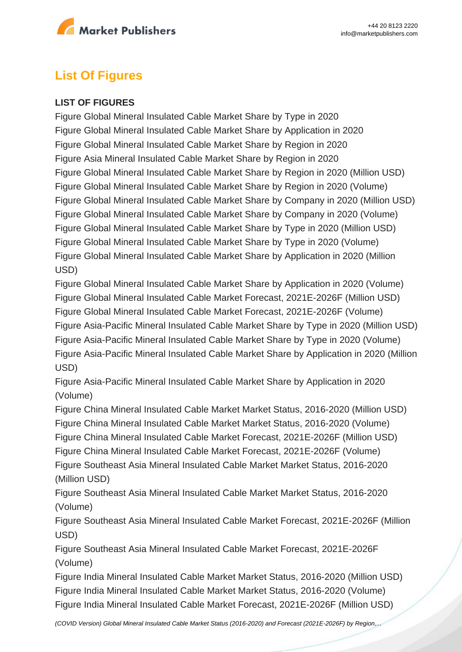

# **List Of Figures**

#### **LIST OF FIGURES**

Figure Global Mineral Insulated Cable Market Share by Type in 2020 Figure Global Mineral Insulated Cable Market Share by Application in 2020 Figure Global Mineral Insulated Cable Market Share by Region in 2020 Figure Asia Mineral Insulated Cable Market Share by Region in 2020 Figure Global Mineral Insulated Cable Market Share by Region in 2020 (Million USD) Figure Global Mineral Insulated Cable Market Share by Region in 2020 (Volume) Figure Global Mineral Insulated Cable Market Share by Company in 2020 (Million USD) Figure Global Mineral Insulated Cable Market Share by Company in 2020 (Volume) Figure Global Mineral Insulated Cable Market Share by Type in 2020 (Million USD) Figure Global Mineral Insulated Cable Market Share by Type in 2020 (Volume) Figure Global Mineral Insulated Cable Market Share by Application in 2020 (Million USD)

Figure Global Mineral Insulated Cable Market Share by Application in 2020 (Volume) Figure Global Mineral Insulated Cable Market Forecast, 2021E-2026F (Million USD) Figure Global Mineral Insulated Cable Market Forecast, 2021E-2026F (Volume) Figure Asia-Pacific Mineral Insulated Cable Market Share by Type in 2020 (Million USD) Figure Asia-Pacific Mineral Insulated Cable Market Share by Type in 2020 (Volume) Figure Asia-Pacific Mineral Insulated Cable Market Share by Application in 2020 (Million USD)

Figure Asia-Pacific Mineral Insulated Cable Market Share by Application in 2020 (Volume)

Figure China Mineral Insulated Cable Market Market Status, 2016-2020 (Million USD) Figure China Mineral Insulated Cable Market Market Status, 2016-2020 (Volume) Figure China Mineral Insulated Cable Market Forecast, 2021E-2026F (Million USD) Figure China Mineral Insulated Cable Market Forecast, 2021E-2026F (Volume) Figure Southeast Asia Mineral Insulated Cable Market Market Status, 2016-2020 (Million USD)

Figure Southeast Asia Mineral Insulated Cable Market Market Status, 2016-2020 (Volume)

Figure Southeast Asia Mineral Insulated Cable Market Forecast, 2021E-2026F (Million USD)

Figure Southeast Asia Mineral Insulated Cable Market Forecast, 2021E-2026F (Volume)

Figure India Mineral Insulated Cable Market Market Status, 2016-2020 (Million USD) Figure India Mineral Insulated Cable Market Market Status, 2016-2020 (Volume) Figure India Mineral Insulated Cable Market Forecast, 2021E-2026F (Million USD)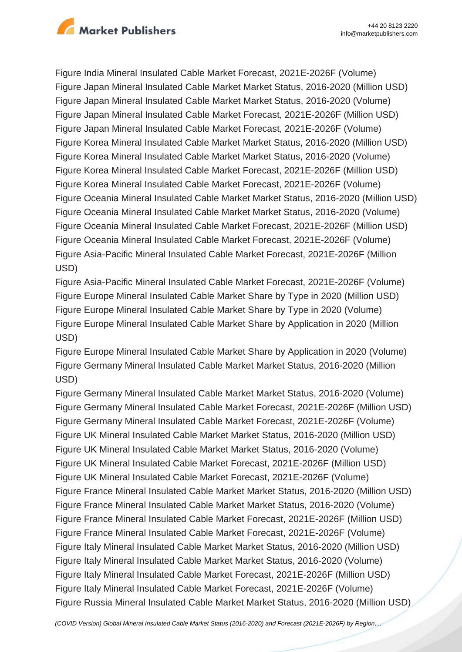

Figure India Mineral Insulated Cable Market Forecast, 2021E-2026F (Volume) Figure Japan Mineral Insulated Cable Market Market Status, 2016-2020 (Million USD) Figure Japan Mineral Insulated Cable Market Market Status, 2016-2020 (Volume) Figure Japan Mineral Insulated Cable Market Forecast, 2021E-2026F (Million USD) Figure Japan Mineral Insulated Cable Market Forecast, 2021E-2026F (Volume) Figure Korea Mineral Insulated Cable Market Market Status, 2016-2020 (Million USD) Figure Korea Mineral Insulated Cable Market Market Status, 2016-2020 (Volume) Figure Korea Mineral Insulated Cable Market Forecast, 2021E-2026F (Million USD) Figure Korea Mineral Insulated Cable Market Forecast, 2021E-2026F (Volume) Figure Oceania Mineral Insulated Cable Market Market Status, 2016-2020 (Million USD) Figure Oceania Mineral Insulated Cable Market Market Status, 2016-2020 (Volume) Figure Oceania Mineral Insulated Cable Market Forecast, 2021E-2026F (Million USD) Figure Oceania Mineral Insulated Cable Market Forecast, 2021E-2026F (Volume) Figure Asia-Pacific Mineral Insulated Cable Market Forecast, 2021E-2026F (Million USD)

Figure Asia-Pacific Mineral Insulated Cable Market Forecast, 2021E-2026F (Volume) Figure Europe Mineral Insulated Cable Market Share by Type in 2020 (Million USD) Figure Europe Mineral Insulated Cable Market Share by Type in 2020 (Volume) Figure Europe Mineral Insulated Cable Market Share by Application in 2020 (Million USD)

Figure Europe Mineral Insulated Cable Market Share by Application in 2020 (Volume) Figure Germany Mineral Insulated Cable Market Market Status, 2016-2020 (Million USD)

Figure Germany Mineral Insulated Cable Market Market Status, 2016-2020 (Volume) Figure Germany Mineral Insulated Cable Market Forecast, 2021E-2026F (Million USD) Figure Germany Mineral Insulated Cable Market Forecast, 2021E-2026F (Volume) Figure UK Mineral Insulated Cable Market Market Status, 2016-2020 (Million USD) Figure UK Mineral Insulated Cable Market Market Status, 2016-2020 (Volume) Figure UK Mineral Insulated Cable Market Forecast, 2021E-2026F (Million USD) Figure UK Mineral Insulated Cable Market Forecast, 2021E-2026F (Volume) Figure France Mineral Insulated Cable Market Market Status, 2016-2020 (Million USD) Figure France Mineral Insulated Cable Market Market Status, 2016-2020 (Volume) Figure France Mineral Insulated Cable Market Forecast, 2021E-2026F (Million USD) Figure France Mineral Insulated Cable Market Forecast, 2021E-2026F (Volume) Figure Italy Mineral Insulated Cable Market Market Status, 2016-2020 (Million USD) Figure Italy Mineral Insulated Cable Market Market Status, 2016-2020 (Volume) Figure Italy Mineral Insulated Cable Market Forecast, 2021E-2026F (Million USD) Figure Italy Mineral Insulated Cable Market Forecast, 2021E-2026F (Volume) Figure Russia Mineral Insulated Cable Market Market Status, 2016-2020 (Million USD)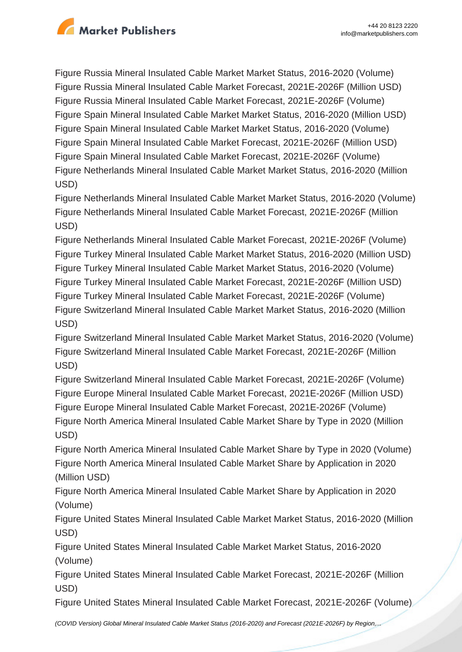

Figure Russia Mineral Insulated Cable Market Market Status, 2016-2020 (Volume) Figure Russia Mineral Insulated Cable Market Forecast, 2021E-2026F (Million USD) Figure Russia Mineral Insulated Cable Market Forecast, 2021E-2026F (Volume) Figure Spain Mineral Insulated Cable Market Market Status, 2016-2020 (Million USD) Figure Spain Mineral Insulated Cable Market Market Status, 2016-2020 (Volume) Figure Spain Mineral Insulated Cable Market Forecast, 2021E-2026F (Million USD) Figure Spain Mineral Insulated Cable Market Forecast, 2021E-2026F (Volume) Figure Netherlands Mineral Insulated Cable Market Market Status, 2016-2020 (Million USD)

Figure Netherlands Mineral Insulated Cable Market Market Status, 2016-2020 (Volume) Figure Netherlands Mineral Insulated Cable Market Forecast, 2021E-2026F (Million USD)

Figure Netherlands Mineral Insulated Cable Market Forecast, 2021E-2026F (Volume) Figure Turkey Mineral Insulated Cable Market Market Status, 2016-2020 (Million USD) Figure Turkey Mineral Insulated Cable Market Market Status, 2016-2020 (Volume) Figure Turkey Mineral Insulated Cable Market Forecast, 2021E-2026F (Million USD) Figure Turkey Mineral Insulated Cable Market Forecast, 2021E-2026F (Volume) Figure Switzerland Mineral Insulated Cable Market Market Status, 2016-2020 (Million USD)

Figure Switzerland Mineral Insulated Cable Market Market Status, 2016-2020 (Volume) Figure Switzerland Mineral Insulated Cable Market Forecast, 2021E-2026F (Million USD)

Figure Switzerland Mineral Insulated Cable Market Forecast, 2021E-2026F (Volume) Figure Europe Mineral Insulated Cable Market Forecast, 2021E-2026F (Million USD) Figure Europe Mineral Insulated Cable Market Forecast, 2021E-2026F (Volume) Figure North America Mineral Insulated Cable Market Share by Type in 2020 (Million USD)

Figure North America Mineral Insulated Cable Market Share by Type in 2020 (Volume) Figure North America Mineral Insulated Cable Market Share by Application in 2020 (Million USD)

Figure North America Mineral Insulated Cable Market Share by Application in 2020 (Volume)

Figure United States Mineral Insulated Cable Market Market Status, 2016-2020 (Million USD)

Figure United States Mineral Insulated Cable Market Market Status, 2016-2020 (Volume)

Figure United States Mineral Insulated Cable Market Forecast, 2021E-2026F (Million USD)

Figure United States Mineral Insulated Cable Market Forecast, 2021E-2026F (Volume)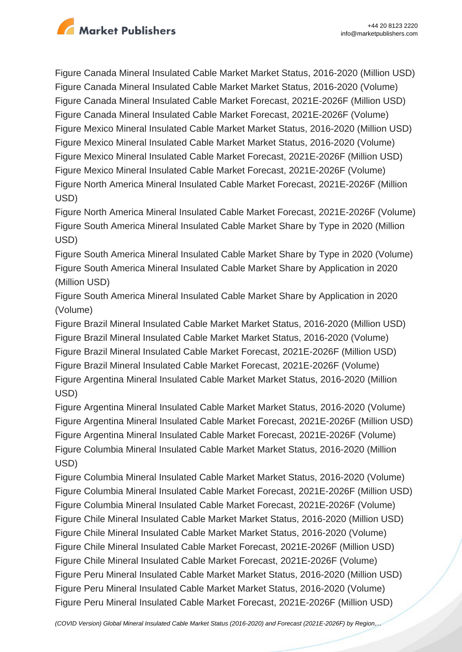

Figure Canada Mineral Insulated Cable Market Market Status, 2016-2020 (Million USD) Figure Canada Mineral Insulated Cable Market Market Status, 2016-2020 (Volume) Figure Canada Mineral Insulated Cable Market Forecast, 2021E-2026F (Million USD) Figure Canada Mineral Insulated Cable Market Forecast, 2021E-2026F (Volume) Figure Mexico Mineral Insulated Cable Market Market Status, 2016-2020 (Million USD) Figure Mexico Mineral Insulated Cable Market Market Status, 2016-2020 (Volume) Figure Mexico Mineral Insulated Cable Market Forecast, 2021E-2026F (Million USD) Figure Mexico Mineral Insulated Cable Market Forecast, 2021E-2026F (Volume) Figure North America Mineral Insulated Cable Market Forecast, 2021E-2026F (Million USD)

Figure North America Mineral Insulated Cable Market Forecast, 2021E-2026F (Volume) Figure South America Mineral Insulated Cable Market Share by Type in 2020 (Million USD)

Figure South America Mineral Insulated Cable Market Share by Type in 2020 (Volume) Figure South America Mineral Insulated Cable Market Share by Application in 2020 (Million USD)

Figure South America Mineral Insulated Cable Market Share by Application in 2020 (Volume)

Figure Brazil Mineral Insulated Cable Market Market Status, 2016-2020 (Million USD) Figure Brazil Mineral Insulated Cable Market Market Status, 2016-2020 (Volume) Figure Brazil Mineral Insulated Cable Market Forecast, 2021E-2026F (Million USD) Figure Brazil Mineral Insulated Cable Market Forecast, 2021E-2026F (Volume) Figure Argentina Mineral Insulated Cable Market Market Status, 2016-2020 (Million USD)

Figure Argentina Mineral Insulated Cable Market Market Status, 2016-2020 (Volume) Figure Argentina Mineral Insulated Cable Market Forecast, 2021E-2026F (Million USD) Figure Argentina Mineral Insulated Cable Market Forecast, 2021E-2026F (Volume) Figure Columbia Mineral Insulated Cable Market Market Status, 2016-2020 (Million USD)

Figure Columbia Mineral Insulated Cable Market Market Status, 2016-2020 (Volume) Figure Columbia Mineral Insulated Cable Market Forecast, 2021E-2026F (Million USD) Figure Columbia Mineral Insulated Cable Market Forecast, 2021E-2026F (Volume) Figure Chile Mineral Insulated Cable Market Market Status, 2016-2020 (Million USD) Figure Chile Mineral Insulated Cable Market Market Status, 2016-2020 (Volume) Figure Chile Mineral Insulated Cable Market Forecast, 2021E-2026F (Million USD) Figure Chile Mineral Insulated Cable Market Forecast, 2021E-2026F (Volume) Figure Peru Mineral Insulated Cable Market Market Status, 2016-2020 (Million USD) Figure Peru Mineral Insulated Cable Market Market Status, 2016-2020 (Volume) Figure Peru Mineral Insulated Cable Market Forecast, 2021E-2026F (Million USD)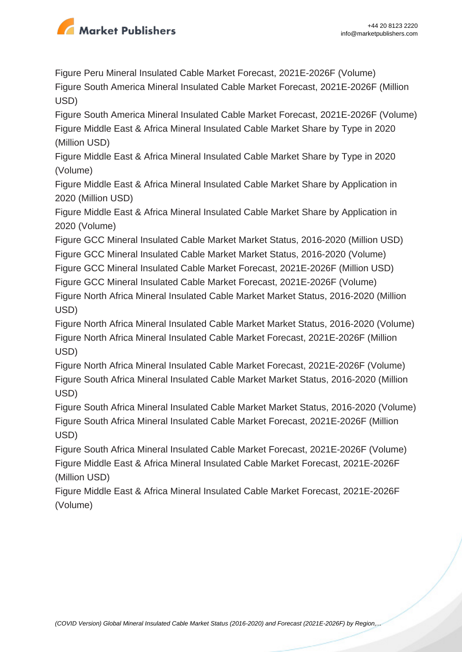

Figure Peru Mineral Insulated Cable Market Forecast, 2021E-2026F (Volume) Figure South America Mineral Insulated Cable Market Forecast, 2021E-2026F (Million USD)

Figure South America Mineral Insulated Cable Market Forecast, 2021E-2026F (Volume) Figure Middle East & Africa Mineral Insulated Cable Market Share by Type in 2020 (Million USD)

Figure Middle East & Africa Mineral Insulated Cable Market Share by Type in 2020 (Volume)

Figure Middle East & Africa Mineral Insulated Cable Market Share by Application in 2020 (Million USD)

Figure Middle East & Africa Mineral Insulated Cable Market Share by Application in 2020 (Volume)

Figure GCC Mineral Insulated Cable Market Market Status, 2016-2020 (Million USD) Figure GCC Mineral Insulated Cable Market Market Status, 2016-2020 (Volume)

Figure GCC Mineral Insulated Cable Market Forecast, 2021E-2026F (Million USD)

Figure GCC Mineral Insulated Cable Market Forecast, 2021E-2026F (Volume)

Figure North Africa Mineral Insulated Cable Market Market Status, 2016-2020 (Million USD)

Figure North Africa Mineral Insulated Cable Market Market Status, 2016-2020 (Volume) Figure North Africa Mineral Insulated Cable Market Forecast, 2021E-2026F (Million USD)

Figure North Africa Mineral Insulated Cable Market Forecast, 2021E-2026F (Volume) Figure South Africa Mineral Insulated Cable Market Market Status, 2016-2020 (Million USD)

Figure South Africa Mineral Insulated Cable Market Market Status, 2016-2020 (Volume) Figure South Africa Mineral Insulated Cable Market Forecast, 2021E-2026F (Million USD)

Figure South Africa Mineral Insulated Cable Market Forecast, 2021E-2026F (Volume) Figure Middle East & Africa Mineral Insulated Cable Market Forecast, 2021E-2026F (Million USD)

Figure Middle East & Africa Mineral Insulated Cable Market Forecast, 2021E-2026F (Volume)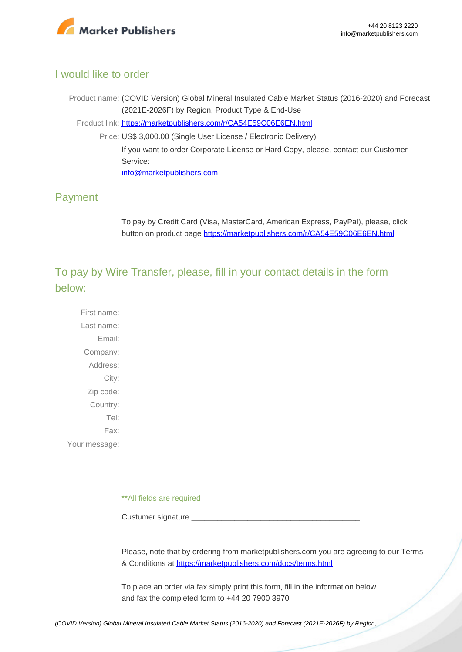

## I would like to order

Product name: (COVID Version) Global Mineral Insulated Cable Market Status (2016-2020) and Forecast (2021E-2026F) by Region, Product Type & End-Use Product link: [https://marketpublishers.com/r/CA54E59C06E6EN.html](https://marketpublishers.com/report/industry/other_industries/covid-version-global-mineral-insulated-cable-market-status-2016-2020-n-forecast-2021e-2026f-by-region-product-type-end-use.html) Price: US\$ 3,000.00 (Single User License / Electronic Delivery) If you want to order Corporate License or Hard Copy, please, contact our Customer Service: [info@marketpublishers.com](mailto:info@marketpublishers.com)

# Payment

To pay by Credit Card (Visa, MasterCard, American Express, PayPal), please, click button on product page [https://marketpublishers.com/r/CA54E59C06E6EN.html](https://marketpublishers.com/report/industry/other_industries/covid-version-global-mineral-insulated-cable-market-status-2016-2020-n-forecast-2021e-2026f-by-region-product-type-end-use.html)

To pay by Wire Transfer, please, fill in your contact details in the form below:

First name: Last name: Email: Company: Address: City: Zip code: Country: Tel: Fax: Your message:

\*\*All fields are required

Custumer signature

Please, note that by ordering from marketpublishers.com you are agreeing to our Terms & Conditions at<https://marketpublishers.com/docs/terms.html>

To place an order via fax simply print this form, fill in the information below and fax the completed form to +44 20 7900 3970